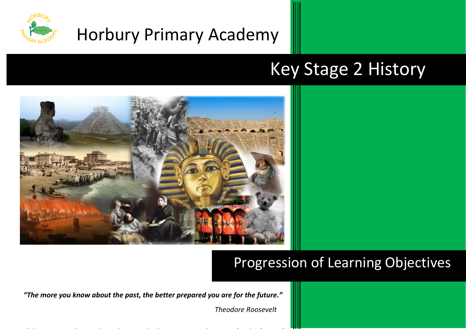

# Horbury Primary Academy

# Key Stage 2 History



# Progression of Learning Objectives

*"The more you know about the past, the better prepared you are for the future."*

 *Theodore Roosevelt*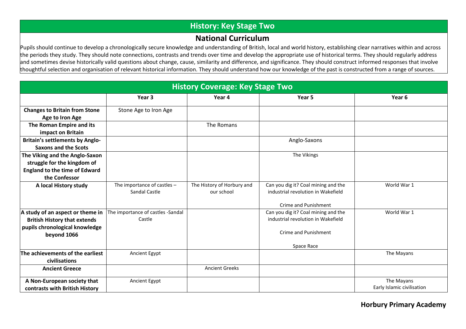## **History: Key Stage Two**

### **National Curriculum**

Pupils should continue to develop a chronologically secure knowledge and understanding of British, local and world history, establishing clear narratives within and across the periods they study. They should note connections, contrasts and trends over time and develop the appropriate use of historical terms. They should regularly address and sometimes devise historically valid questions about change, cause, similarity and difference, and significance. They should construct informed responses that involve thoughtful selection and organisation of relevant historical information. They should understand how our knowledge of the past is constructed from a range of sources.

| <b>History Coverage: Key Stage Two</b> |                                   |                            |                                     |                            |
|----------------------------------------|-----------------------------------|----------------------------|-------------------------------------|----------------------------|
|                                        | Year <sub>3</sub>                 | Year 4                     | Year 5                              | Year <sub>6</sub>          |
| <b>Changes to Britain from Stone</b>   | Stone Age to Iron Age             |                            |                                     |                            |
| Age to Iron Age                        |                                   |                            |                                     |                            |
| The Roman Empire and its               |                                   | The Romans                 |                                     |                            |
| impact on Britain                      |                                   |                            |                                     |                            |
| <b>Britain's settlements by Anglo-</b> |                                   |                            | Anglo-Saxons                        |                            |
| <b>Saxons and the Scots</b>            |                                   |                            |                                     |                            |
| The Viking and the Anglo-Saxon         |                                   |                            | The Vikings                         |                            |
| struggle for the kingdom of            |                                   |                            |                                     |                            |
| <b>England to the time of Edward</b>   |                                   |                            |                                     |                            |
| the Confessor                          |                                   |                            |                                     |                            |
| A local History study                  | The importance of castles -       | The History of Horbury and | Can you dig it? Coal mining and the | World War 1                |
|                                        | Sandal Castle                     | our school                 | industrial revolution in Wakefield  |                            |
|                                        |                                   |                            | Crime and Punishment                |                            |
| A study of an aspect or theme in       | The importance of castles -Sandal |                            | Can you dig it? Coal mining and the | World War 1                |
| <b>British History that extends</b>    | Castle                            |                            | industrial revolution in Wakefield  |                            |
| pupils chronological knowledge         |                                   |                            |                                     |                            |
| beyond 1066                            |                                   |                            | <b>Crime and Punishment</b>         |                            |
|                                        |                                   |                            | Space Race                          |                            |
| The achievements of the earliest       | Ancient Egypt                     |                            |                                     | The Mayans                 |
| civilisations                          |                                   |                            |                                     |                            |
| <b>Ancient Greece</b>                  |                                   | <b>Ancient Greeks</b>      |                                     |                            |
| A Non-European society that            | Ancient Egypt                     |                            |                                     | The Mayans                 |
| contrasts with British History         |                                   |                            |                                     | Early Islamic civilisation |

**Horbury Primary Academy**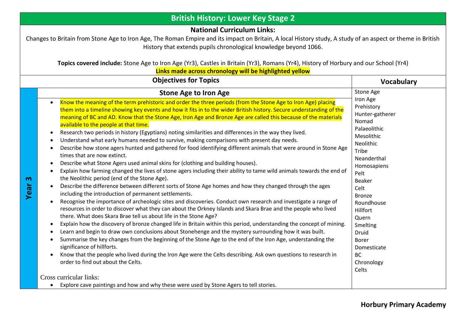| <b>British History: Lower Key Stage 2</b> |                                                                                                                                                                                                                                                                                                                                                                                                                                                                                                                                                                                                                                                                                                                                                                                                                                                                                                                                                                                                                                                                                                                                                                                                                                                                                                                                                                                                                                                                                                                                                                                                                                                                                                                                                                                                                                                                                                                                                                                                                                                                                                                                                                                                  |                                                                                                                                                                                                                                                                                                                                |  |  |  |
|-------------------------------------------|--------------------------------------------------------------------------------------------------------------------------------------------------------------------------------------------------------------------------------------------------------------------------------------------------------------------------------------------------------------------------------------------------------------------------------------------------------------------------------------------------------------------------------------------------------------------------------------------------------------------------------------------------------------------------------------------------------------------------------------------------------------------------------------------------------------------------------------------------------------------------------------------------------------------------------------------------------------------------------------------------------------------------------------------------------------------------------------------------------------------------------------------------------------------------------------------------------------------------------------------------------------------------------------------------------------------------------------------------------------------------------------------------------------------------------------------------------------------------------------------------------------------------------------------------------------------------------------------------------------------------------------------------------------------------------------------------------------------------------------------------------------------------------------------------------------------------------------------------------------------------------------------------------------------------------------------------------------------------------------------------------------------------------------------------------------------------------------------------------------------------------------------------------------------------------------------------|--------------------------------------------------------------------------------------------------------------------------------------------------------------------------------------------------------------------------------------------------------------------------------------------------------------------------------|--|--|--|
|                                           | <b>National Curriculum Links:</b><br>Changes to Britain from Stone Age to Iron Age, The Roman Empire and its impact on Britain, A local History study, A study of an aspect or theme in British<br>History that extends pupils chronological knowledge beyond 1066.<br>Topics covered include: Stone Age to Iron Age (Yr3), Castles in Britain (Yr3), Romans (Yr4), History of Horbury and our School (Yr4)<br>Links made across chronology will be highlighted yellow                                                                                                                                                                                                                                                                                                                                                                                                                                                                                                                                                                                                                                                                                                                                                                                                                                                                                                                                                                                                                                                                                                                                                                                                                                                                                                                                                                                                                                                                                                                                                                                                                                                                                                                           |                                                                                                                                                                                                                                                                                                                                |  |  |  |
|                                           | <b>Objectives for Topics</b>                                                                                                                                                                                                                                                                                                                                                                                                                                                                                                                                                                                                                                                                                                                                                                                                                                                                                                                                                                                                                                                                                                                                                                                                                                                                                                                                                                                                                                                                                                                                                                                                                                                                                                                                                                                                                                                                                                                                                                                                                                                                                                                                                                     | <b>Vocabulary</b>                                                                                                                                                                                                                                                                                                              |  |  |  |
| $\boldsymbol{\omega}$<br>Year             | <b>Stone Age to Iron Age</b><br>Know the meaning of the term prehistoric and order the three periods (from the Stone Age to Iron Age) placing<br>$\bullet$<br>them into a timeline showing key events and how it fits in to the wider British history. Secure understanding of the<br>meaning of BC and AD. Know that the Stone Age, Iron Age and Bronze Age are called this because of the materials<br>available to the people at that time.<br>Research two periods in history (Egyptians) noting similarities and differences in the way they lived.<br>$\bullet$<br>Understand what early humans needed to survive, making comparisons with present day needs.<br>Describe how stone agers hunted and gathered for food identifying different animals that were around in Stone Age<br>$\bullet$<br>times that are now extinct.<br>Describe what Stone Agers used animal skins for (clothing and building houses).<br>$\bullet$<br>Explain how farming changed the lives of stone agers including their ability to tame wild animals towards the end of<br>the Neolithic period (end of the Stone Age).<br>Describe the difference between different sorts of Stone Age homes and how they changed through the ages<br>including the introduction of permanent settlements.<br>Recognise the importance of archeologic sites and discoveries. Conduct own research and investigate a range of<br>$\bullet$<br>resources in order to discover what they can about the Orkney Islands and Skara Brae and the people who lived<br>there. What does Skara Brae tell us about life in the Stone Age?<br>Explain how the discovery of bronze changed life in Britain within this period, understanding the concept of mining.<br>Learn and begin to draw own conclusions about Stonehenge and the mystery surrounding how it was built.<br>Summarise the key changes from the beginning of the Stone Age to the end of the Iron Age, understanding the<br>$\bullet$<br>significance of hillforts.<br>Know that the people who lived during the Iron Age were the Celts describing. Ask own questions to research in<br>$\bullet$<br>order to find out about the Celts.<br>Cross curricular links: | <b>Stone Age</b><br>Iron Age<br>Prehistory<br>Hunter-gatherer<br>Nomad<br>Palaeolithic<br>Mesolithic<br>Neolithic<br>Tribe<br>Neanderthal<br>Homosapiens<br>Pelt<br>Beaker<br>Celt<br><b>Bronze</b><br>Roundhouse<br>Hillfort<br>Quern<br>Smelting<br>Druid<br><b>Borer</b><br>Domesticate<br><b>BC</b><br>Chronology<br>Celts |  |  |  |
|                                           | Explore cave paintings and how and why these were used by Stone Agers to tell stories.<br>$\bullet$                                                                                                                                                                                                                                                                                                                                                                                                                                                                                                                                                                                                                                                                                                                                                                                                                                                                                                                                                                                                                                                                                                                                                                                                                                                                                                                                                                                                                                                                                                                                                                                                                                                                                                                                                                                                                                                                                                                                                                                                                                                                                              |                                                                                                                                                                                                                                                                                                                                |  |  |  |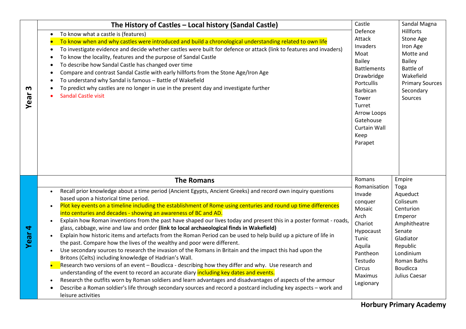|                   | The History of Castles - Local history (Sandal Castle)                                                                                                                                                                                                                                                                                                                                                                                                                                                                                                                                                                                                                                                                                                                                                                                                                                                                                                                                                                                                                                                                                                                                                                                                                                                                                                                                                                                                                | Castle                                                                                                                                                                                                        | Sandal Magna                                                                                                                                                                      |
|-------------------|-----------------------------------------------------------------------------------------------------------------------------------------------------------------------------------------------------------------------------------------------------------------------------------------------------------------------------------------------------------------------------------------------------------------------------------------------------------------------------------------------------------------------------------------------------------------------------------------------------------------------------------------------------------------------------------------------------------------------------------------------------------------------------------------------------------------------------------------------------------------------------------------------------------------------------------------------------------------------------------------------------------------------------------------------------------------------------------------------------------------------------------------------------------------------------------------------------------------------------------------------------------------------------------------------------------------------------------------------------------------------------------------------------------------------------------------------------------------------|---------------------------------------------------------------------------------------------------------------------------------------------------------------------------------------------------------------|-----------------------------------------------------------------------------------------------------------------------------------------------------------------------------------|
| m<br>Year         | To know what a castle is (features)<br>To know when and why castles were introduced and build a chronological understanding related to own life<br>To investigate evidence and decide whether castles were built for defence or attack (link to features and invaders)<br>To know the locality, features and the purpose of Sandal Castle<br>To describe how Sandal Castle has changed over time<br>Compare and contrast Sandal Castle with early hillforts from the Stone Age/Iron Age<br>To understand why Sandal is famous - Battle of Wakefield<br>To predict why castles are no longer in use in the present day and investigate further<br><b>Sandal Castle visit</b>                                                                                                                                                                                                                                                                                                                                                                                                                                                                                                                                                                                                                                                                                                                                                                                           | Defence<br><b>Attack</b><br>Invaders<br>Moat<br>Bailey<br><b>Battlements</b><br>Drawbridge<br>Portcullis<br>Barbican<br>Tower<br>Turret<br>Arrow Loops<br>Gatehouse<br><b>Curtain Wall</b><br>Keep<br>Parapet | <b>Hillforts</b><br>Stone Age<br>Iron Age<br>Motte and<br>Bailey<br>Battle of<br>Wakefield<br><b>Primary Sources</b><br>Secondary<br>Sources                                      |
| Year <sub>4</sub> | <b>The Romans</b><br>Recall prior knowledge about a time period (Ancient Egypts, Ancient Greeks) and record own inquiry questions<br>$\bullet$<br>based upon a historical time period.<br>Plot key events on a timeline including the establishment of Rome using centuries and round up time differences<br>$\bullet$<br>into centuries and decades - showing an awareness of BC and AD.<br>Explain how Roman inventions from the past have shaped our lives today and present this in a poster format - roads,<br>$\bullet$<br>glass, cabbage, wine and law and order (link to local archaeological finds in Wakefield)<br>Explain how historic items and artefacts from the Roman Period can be used to help build up a picture of life in<br>the past. Compare how the lives of the wealthy and poor were different.<br>Use secondary sources to research the invasion of the Romans in Britain and the impact this had upon the<br>$\bullet$<br>Britons (Celts) including knowledge of Hadrian's Wall.<br>Research two versions of an event - Boudicca - describing how they differ and why. Use research and<br>understanding of the event to record an accurate diary including key dates and events.<br>Research the outfits worn by Roman soldiers and learn advantages and disadvantages of aspects of the armour<br>Describe a Roman soldier's life through secondary sources and record a postcard including key aspects - work and<br>leisure activities | Romans<br>Romanisation<br>Invade<br>conquer<br>Mosaic<br>Arch<br>Chariot<br>Hypocaust<br>Tunic<br>Aquila<br>Pantheon<br>Testudo<br>Circus<br><b>Maximus</b><br>Legionary                                      | Empire<br>Toga<br>Aqueduct<br>Coliseum<br>Centurion<br>Emperor<br>Amphitheatre<br>Senate<br>Gladiator<br>Republic<br>Londinium<br>Roman Baths<br><b>Boudicca</b><br>Julius Caesar |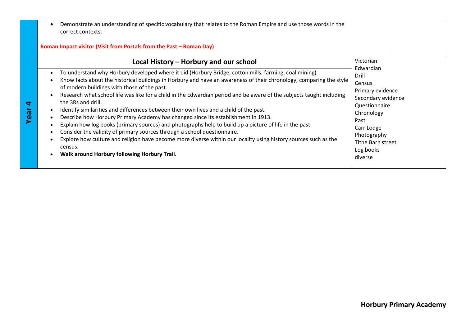|                                                           | Demonstrate an understanding of specific vocabulary that relates to the Roman Empire and use those words in the<br>correct contexts.<br>Roman Impact visitor (Visit from Portals from the Past - Roman Day)                                                                                                                                                                                                                                                                                                                                                                                                                                                                                                                                                                                                                                                                                                                                                                               |                                                                                                                                                                                         |
|-----------------------------------------------------------|-------------------------------------------------------------------------------------------------------------------------------------------------------------------------------------------------------------------------------------------------------------------------------------------------------------------------------------------------------------------------------------------------------------------------------------------------------------------------------------------------------------------------------------------------------------------------------------------------------------------------------------------------------------------------------------------------------------------------------------------------------------------------------------------------------------------------------------------------------------------------------------------------------------------------------------------------------------------------------------------|-----------------------------------------------------------------------------------------------------------------------------------------------------------------------------------------|
|                                                           | Local History - Horbury and our school                                                                                                                                                                                                                                                                                                                                                                                                                                                                                                                                                                                                                                                                                                                                                                                                                                                                                                                                                    | Victorian                                                                                                                                                                               |
| $\blacktriangleleft$<br>$\boldsymbol{\sigma}$<br><b>e</b> | To understand why Horbury developed where it did (Horbury Bridge, cotton mills, farming, coal mining)<br>$\bullet$<br>Know facts about the historical buildings in Horbury and have an awareness of their chronology, comparing the style<br>of modern buildings with those of the past.<br>Research what school life was like for a child in the Edwardian period and be aware of the subjects taught including<br>the 3Rs and drill.<br>Identify similarities and differences between their own lives and a child of the past.<br>Describe how Horbury Primary Academy has changed since its establishment in 1913.<br>Explain how log books (primary sources) and photographs help to build up a picture of life in the past<br>Consider the validity of primary sources through a school questionnaire.<br>Explore how culture and religion have become more diverse within our locality using history sources such as the<br>census.<br>Walk around Horbury following Horbury Trail. | Edwardian<br>Drill<br>Census<br>Primary evidence<br>Secondary evidence<br>Questionnaire<br>Chronology<br>Past<br>Carr Lodge<br>Photography<br>Tithe Barn street<br>Log books<br>diverse |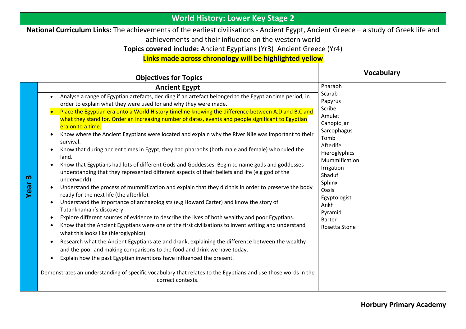| <b>World History: Lower Key Stage 2</b> |                                                                                                                                                                                                                                                                                                                                                                                                                                                                                                                                                                                                                                                                                                                                                                                                                                                                                                                                                                                                                                                                                                                                                                                                                                                                                                                                                                                                                                                                                                                                                                                                                                                                                                                                                                                                              |                                                                                                                                                                                                                                            |  |  |  |
|-----------------------------------------|--------------------------------------------------------------------------------------------------------------------------------------------------------------------------------------------------------------------------------------------------------------------------------------------------------------------------------------------------------------------------------------------------------------------------------------------------------------------------------------------------------------------------------------------------------------------------------------------------------------------------------------------------------------------------------------------------------------------------------------------------------------------------------------------------------------------------------------------------------------------------------------------------------------------------------------------------------------------------------------------------------------------------------------------------------------------------------------------------------------------------------------------------------------------------------------------------------------------------------------------------------------------------------------------------------------------------------------------------------------------------------------------------------------------------------------------------------------------------------------------------------------------------------------------------------------------------------------------------------------------------------------------------------------------------------------------------------------------------------------------------------------------------------------------------------------|--------------------------------------------------------------------------------------------------------------------------------------------------------------------------------------------------------------------------------------------|--|--|--|
|                                         | National Curriculum Links: The achievements of the earliest civilisations - Ancient Egypt, Ancient Greece - a study of Greek life and<br>achievements and their influence on the western world<br>Topics covered include: Ancient Egyptians (Yr3) Ancient Greece (Yr4)                                                                                                                                                                                                                                                                                                                                                                                                                                                                                                                                                                                                                                                                                                                                                                                                                                                                                                                                                                                                                                                                                                                                                                                                                                                                                                                                                                                                                                                                                                                                       |                                                                                                                                                                                                                                            |  |  |  |
|                                         | Links made across chronology will be highlighted yellow                                                                                                                                                                                                                                                                                                                                                                                                                                                                                                                                                                                                                                                                                                                                                                                                                                                                                                                                                                                                                                                                                                                                                                                                                                                                                                                                                                                                                                                                                                                                                                                                                                                                                                                                                      |                                                                                                                                                                                                                                            |  |  |  |
|                                         | <b>Vocabulary</b><br><b>Objectives for Topics</b>                                                                                                                                                                                                                                                                                                                                                                                                                                                                                                                                                                                                                                                                                                                                                                                                                                                                                                                                                                                                                                                                                                                                                                                                                                                                                                                                                                                                                                                                                                                                                                                                                                                                                                                                                            |                                                                                                                                                                                                                                            |  |  |  |
|                                         | <b>Ancient Egypt</b>                                                                                                                                                                                                                                                                                                                                                                                                                                                                                                                                                                                                                                                                                                                                                                                                                                                                                                                                                                                                                                                                                                                                                                                                                                                                                                                                                                                                                                                                                                                                                                                                                                                                                                                                                                                         | Pharaoh                                                                                                                                                                                                                                    |  |  |  |
| ო<br>Year                               | Analyse a range of Egyptian artefacts, deciding if an artefact belonged to the Egyptian time period, in<br>order to explain what they were used for and why they were made.<br>Place the Egyptian era onto a World History timeline knowing the difference between A.D and B.C and<br>what they stand for. Order an increasing number of dates, events and people significant to Egyptian<br>era on to a time.<br>Know where the Ancient Egyptians were located and explain why the River Nile was important to their<br>survival.<br>Know that during ancient times in Egypt, they had pharaohs (both male and female) who ruled the<br>land.<br>Know that Egyptians had lots of different Gods and Goddesses. Begin to name gods and goddesses<br>understanding that they represented different aspects of their beliefs and life (e.g god of the<br>underworld).<br>Understand the process of mummification and explain that they did this in order to preserve the body<br>ready for the next life (the afterlife).<br>Understand the importance of archaeologists (e.g Howard Carter) and know the story of<br>Tutankhaman's discovery.<br>Explore different sources of evidence to describe the lives of both wealthy and poor Egyptians.<br>Know that the Ancient Egyptians were one of the first civilisations to invent writing and understand<br>what this looks like (hieroglyphics).<br>Research what the Ancient Egyptians ate and drank, explaining the difference between the wealthy<br>$\bullet$<br>and the poor and making comparisons to the food and drink we have today.<br>Explain how the past Egyptian inventions have influenced the present.<br>Demonstrates an understanding of specific vocabulary that relates to the Egyptians and use those words in the<br>correct contexts. | Scarab<br>Papyrus<br>Scribe<br>Amulet<br>Canopic jar<br>Sarcophagus<br>Tomb<br>Afterlife<br>Hieroglyphics<br>Mummification<br>Irrigation<br>Shaduf<br>Sphinx<br>Oasis<br>Egyptologist<br>Ankh<br>Pyramid<br><b>Barter</b><br>Rosetta Stone |  |  |  |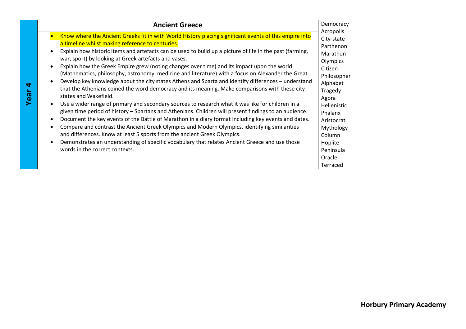| <b>Ancient Greece</b>                                                                                                                                                                                                                                                                                                                                                                                                                                                                                                                                                                                                                                                                                                                                                                                                                                                                                                                                                                                                                                                                                                                                                                                                                                                                                                                                                                                      | Democracy                                                                                                                                                                                                                           |
|------------------------------------------------------------------------------------------------------------------------------------------------------------------------------------------------------------------------------------------------------------------------------------------------------------------------------------------------------------------------------------------------------------------------------------------------------------------------------------------------------------------------------------------------------------------------------------------------------------------------------------------------------------------------------------------------------------------------------------------------------------------------------------------------------------------------------------------------------------------------------------------------------------------------------------------------------------------------------------------------------------------------------------------------------------------------------------------------------------------------------------------------------------------------------------------------------------------------------------------------------------------------------------------------------------------------------------------------------------------------------------------------------------|-------------------------------------------------------------------------------------------------------------------------------------------------------------------------------------------------------------------------------------|
| Know where the Ancient Greeks fit in with World History placing significant events of this empire into<br>a timeline whilst making reference to centuries.<br>Explain how historic items and artefacts can be used to build up a picture of life in the past (farming,<br>war, sport) by looking at Greek artefacts and vases.<br>Explain how the Greek Empire grew (noting changes over time) and its impact upon the world<br>(Mathematics, philosophy, astronomy, medicine and literature) with a focus on Alexander the Great.<br>Develop key knowledge about the city states Athens and Sparta and identify differences - understand<br>that the Athenians coined the word democracy and its meaning. Make comparisons with these city<br>states and Wakefield.<br>Use a wider range of primary and secondary sources to research what it was like for children in a<br>given time period of history - Spartans and Athenians. Children will present findings to an audience.<br>Document the key events of the Battle of Marathon in a diary format including key events and dates.<br>Compare and contrast the Ancient Greek Olympics and Modern Olympics, identifying similarities<br>and differences. Know at least 5 sports from the ancient Greek Olympics.<br>Demonstrates an understanding of specific vocabulary that relates Ancient Greece and use those<br>words in the correct contexts. | Acropolis<br>City-state<br>Parthenon<br>Marathon<br>Olympics<br>Citizen<br>Philosopher<br>Alphabet<br>Tragedy<br>Agora<br>Hellenistic<br>Phalanx<br>Aristocrat<br>Mythology<br>Column<br>Hoplite<br>Peninsula<br>Oracle<br>Terraced |

**Horbury Primary Academy**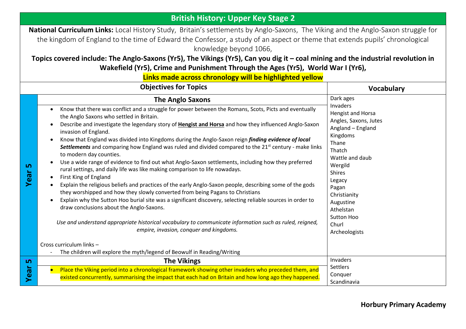### **British History: Upper Key Stage 2**

**National Curriculum Links:** Local History Study, Britain's settlements by Anglo-Saxons, The Viking and the Anglo-Saxon struggle for the kingdom of England to the time of Edward the Confessor, a study of an aspect or theme that extends pupils' chronological knowledge beyond 1066,

### **Topics covered include: The Anglo-Saxons (Yr5), The Vikings (Yr5), Can you dig it – coal mining and the industrial revolution in Wakefield (Yr5), Crime and Punishment Through the Ages (Yr5), World War I (Yr6),**

**Links made across chronology will be highlighted yellow**

|           | <b>Objectives for Topics</b>                                                                                                                                                                                                                                                                                                                                                                                                                                                                                                                                                                                                                                                                                                                                                                                                                                                                                                                                                                                                                                                                                                                                                                                                                                                                                                          | <b>Vocabulary</b>                                                                                                                                                                                                                                              |
|-----------|---------------------------------------------------------------------------------------------------------------------------------------------------------------------------------------------------------------------------------------------------------------------------------------------------------------------------------------------------------------------------------------------------------------------------------------------------------------------------------------------------------------------------------------------------------------------------------------------------------------------------------------------------------------------------------------------------------------------------------------------------------------------------------------------------------------------------------------------------------------------------------------------------------------------------------------------------------------------------------------------------------------------------------------------------------------------------------------------------------------------------------------------------------------------------------------------------------------------------------------------------------------------------------------------------------------------------------------|----------------------------------------------------------------------------------------------------------------------------------------------------------------------------------------------------------------------------------------------------------------|
|           | <b>The Anglo Saxons</b>                                                                                                                                                                                                                                                                                                                                                                                                                                                                                                                                                                                                                                                                                                                                                                                                                                                                                                                                                                                                                                                                                                                                                                                                                                                                                                               | Dark ages                                                                                                                                                                                                                                                      |
| ம<br>Year | Know that there was conflict and a struggle for power between the Romans, Scots, Picts and eventually<br>$\bullet$<br>the Anglo Saxons who settled in Britain.<br>Describe and investigate the legendary story of Hengist and Horsa and how they influenced Anglo-Saxon<br>$\bullet$<br>invasion of England.<br>Know that England was divided into Kingdoms during the Anglo-Saxon reign finding evidence of local<br>$\bullet$<br>Settlements and comparing how England was ruled and divided compared to the 21 <sup>st</sup> century - make links<br>to modern day counties.<br>Use a wide range of evidence to find out what Anglo-Saxon settlements, including how they preferred<br>$\bullet$<br>rural settings, and daily life was like making comparison to life nowadays.<br>First King of England<br>$\bullet$<br>Explain the religious beliefs and practices of the early Anglo-Saxon people, describing some of the gods<br>they worshipped and how they slowly converted from being Pagans to Christians<br>Explain why the Sutton Hoo burial site was a significant discovery, selecting reliable sources in order to<br>draw conclusions about the Anglo-Saxons.<br>Use and understand appropriate historical vocabulary to communicate information such as ruled, reigned,<br>empire, invasion, conquer and kingdoms. | Invaders<br>Hengist and Horsa<br>Angles, Saxons, Jutes<br>Angland - England<br>Kingdoms<br>Thane<br>Thatch<br>Wattle and daub<br>Wergild<br><b>Shires</b><br>Legacy<br>Pagan<br>Christianity<br>Augustine<br>Athelstan<br>Sutton Hoo<br>Churl<br>Archeologists |
|           | Cross curriculum links -<br>The children will explore the myth/legend of Beowulf in Reading/Writing                                                                                                                                                                                                                                                                                                                                                                                                                                                                                                                                                                                                                                                                                                                                                                                                                                                                                                                                                                                                                                                                                                                                                                                                                                   |                                                                                                                                                                                                                                                                |
| <u>ທ</u>  | <b>The Vikings</b>                                                                                                                                                                                                                                                                                                                                                                                                                                                                                                                                                                                                                                                                                                                                                                                                                                                                                                                                                                                                                                                                                                                                                                                                                                                                                                                    | Invaders                                                                                                                                                                                                                                                       |
| Year      | Place the Viking period into a chronological framework showing other invaders who preceded them, and<br>existed concurrently, summarising the impact that each had on Britain and how long ago they happened.                                                                                                                                                                                                                                                                                                                                                                                                                                                                                                                                                                                                                                                                                                                                                                                                                                                                                                                                                                                                                                                                                                                         | Settlers<br>Conquer<br>Scandinavia                                                                                                                                                                                                                             |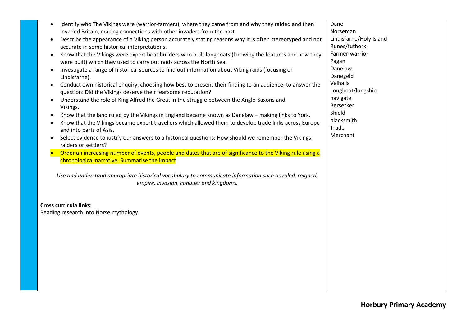| Identify who The Vikings were (warrior-farmers), where they came from and why they raided and then<br>$\bullet$                                             | Dane                    |
|-------------------------------------------------------------------------------------------------------------------------------------------------------------|-------------------------|
| invaded Britain, making connections with other invaders from the past.                                                                                      | Norseman                |
| Describe the appearance of a Viking person accurately stating reasons why it is often stereotyped and not<br>$\bullet$                                      | Lindisfarne/Holy Island |
| accurate in some historical interpretations.                                                                                                                | Runes/futhork           |
| Know that the Vikings were expert boat builders who built longboats (knowing the features and how they<br>$\bullet$                                         | Farmer-warrior          |
| were built) which they used to carry out raids across the North Sea.                                                                                        | Pagan                   |
| Investigate a range of historical sources to find out information about Viking raids (focusing on<br>$\bullet$                                              | Danelaw                 |
| Lindisfarne).                                                                                                                                               | Danegeld                |
| Conduct own historical enquiry, choosing how best to present their finding to an audience, to answer the<br>$\bullet$                                       | Valhalla                |
| question: Did the Vikings deserve their fearsome reputation?                                                                                                | Longboat/longship       |
| Understand the role of King Alfred the Great in the struggle between the Anglo-Saxons and<br>$\bullet$                                                      | navigate                |
| Vikings.                                                                                                                                                    | Berserker               |
| Know that the land ruled by the Vikings in England became known as Danelaw - making links to York.<br>$\bullet$                                             | Shield                  |
| Know that the Vikings became expert travellers which allowed them to develop trade links across Europe                                                      | blacksmith              |
| and into parts of Asia.                                                                                                                                     | Trade                   |
| Select evidence to justify our answers to a historical questions: How should we remember the Vikings:                                                       | Merchant                |
| raiders or settlers?                                                                                                                                        |                         |
| Order an increasing number of events, people and dates that are of significance to the Viking rule using a<br>chronological narrative. Summarise the impact |                         |
| Use and understand appropriate historical vocabulary to communicate information such as ruled, reigned,<br>empire, invasion, conquer and kingdoms.          |                         |
|                                                                                                                                                             |                         |
|                                                                                                                                                             |                         |
| <b>Cross curricula links:</b>                                                                                                                               |                         |
| Reading research into Norse mythology.                                                                                                                      |                         |
|                                                                                                                                                             |                         |
|                                                                                                                                                             |                         |
|                                                                                                                                                             |                         |
|                                                                                                                                                             |                         |
|                                                                                                                                                             |                         |
|                                                                                                                                                             |                         |
|                                                                                                                                                             |                         |
|                                                                                                                                                             |                         |
|                                                                                                                                                             |                         |
|                                                                                                                                                             |                         |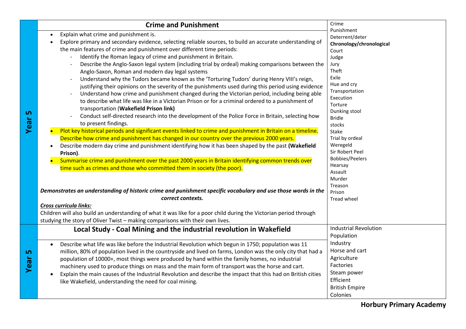|           | <b>Crime and Punishment</b>                                                                                                                                                                                                                                                                                                                                                                                                                                                                                                                                                                                                                                                                                                                                                                                                                                                                                                                                                                                                                                                                                                                                                                                                                          | Crime                                                                                                                                                                                                                                                                 |
|-----------|------------------------------------------------------------------------------------------------------------------------------------------------------------------------------------------------------------------------------------------------------------------------------------------------------------------------------------------------------------------------------------------------------------------------------------------------------------------------------------------------------------------------------------------------------------------------------------------------------------------------------------------------------------------------------------------------------------------------------------------------------------------------------------------------------------------------------------------------------------------------------------------------------------------------------------------------------------------------------------------------------------------------------------------------------------------------------------------------------------------------------------------------------------------------------------------------------------------------------------------------------|-----------------------------------------------------------------------------------------------------------------------------------------------------------------------------------------------------------------------------------------------------------------------|
| 5<br>Year | Explain what crime and punishment is.<br>Explore primary and secondary evidence, selecting reliable sources, to build an accurate understanding of<br>the main features of crime and punishment over different time periods:<br>Identify the Roman legacy of crime and punishment in Britain.<br>Describe the Anglo-Saxon legal system (including trial by ordeal) making comparisons between the<br>Anglo-Saxon, Roman and modern day legal systems<br>Understand why the Tudors became known as the 'Torturing Tudors' during Henry VIII's reign,<br>justifying their opinions on the severity of the punishments used during this period using evidence<br>Understand how crime and punishment changed during the Victorian period, including being able<br>to describe what life was like in a Victorian Prison or for a criminal ordered to a punishment of<br>transportation (Wakefield Prison link)<br>Conduct self-directed research into the development of the Police Force in Britain, selecting how<br>to present findings.<br>Plot key historical periods and significant events linked to crime and punishment in Britain on a timeline.<br>Describe how crime and punishment has changed in our country over the previous 2000 years. | Punishment<br>Deterrent/deter<br>Chronology/chronological<br>Court<br>Judge<br>Jury<br>Theft<br>Exile<br>Hue and cry<br>Transportation<br>Execution<br>Torture<br>Dunking stool<br><b>Bridle</b><br>stocks<br>Stake<br>Trial by ordeal<br>Weregeld<br>Sir Robert Peel |
|           | Describe modern day crime and punishment identifying how it has been shaped by the past (Wakefield<br>Prison).                                                                                                                                                                                                                                                                                                                                                                                                                                                                                                                                                                                                                                                                                                                                                                                                                                                                                                                                                                                                                                                                                                                                       |                                                                                                                                                                                                                                                                       |
|           | Summarise crime and punishment over the past 2000 years in Britain identifying common trends over<br>time such as crimes and those who committed them in society (the poor).                                                                                                                                                                                                                                                                                                                                                                                                                                                                                                                                                                                                                                                                                                                                                                                                                                                                                                                                                                                                                                                                         | <b>Bobbies/Peelers</b><br>Hearsay<br>Assault<br>Murder<br>Treason                                                                                                                                                                                                     |
|           | Demonstrates an understanding of historic crime and punishment specific vocabulary and use those words in the<br>correct contexts.                                                                                                                                                                                                                                                                                                                                                                                                                                                                                                                                                                                                                                                                                                                                                                                                                                                                                                                                                                                                                                                                                                                   | Prison<br><b>Tread wheel</b>                                                                                                                                                                                                                                          |
|           | Cross curricula links:                                                                                                                                                                                                                                                                                                                                                                                                                                                                                                                                                                                                                                                                                                                                                                                                                                                                                                                                                                                                                                                                                                                                                                                                                               |                                                                                                                                                                                                                                                                       |
|           | Children will also build an understanding of what it was like for a poor child during the Victorian period through<br>studying the story of Oliver Twist - making comparisons with their own lives.                                                                                                                                                                                                                                                                                                                                                                                                                                                                                                                                                                                                                                                                                                                                                                                                                                                                                                                                                                                                                                                  |                                                                                                                                                                                                                                                                       |
| 5<br>Year | Local Study - Coal Mining and the industrial revolution in Wakefield                                                                                                                                                                                                                                                                                                                                                                                                                                                                                                                                                                                                                                                                                                                                                                                                                                                                                                                                                                                                                                                                                                                                                                                 | <b>Industrial Revolution</b><br>Population                                                                                                                                                                                                                            |
|           | Describe what life was like before the Industrial Revolution which begun in 1750; population was 11<br>million, 80% of population lived in the countryside and lived on farms, London was the only city that had a<br>population of 10000+, most things were produced by hand within the family homes, no industrial<br>machinery used to produce things on mass and the main form of transport was the horse and cart.<br>Explain the main causes of the Industrial Revolution and describe the impact that this had on British cities<br>$\bullet$<br>like Wakefield, understanding the need for coal mining.                                                                                                                                                                                                                                                                                                                                                                                                                                                                                                                                                                                                                                      | Industry<br>Horse and cart<br>Agriculture<br>Factories<br>Steam power<br>Efficient<br><b>British Empire</b><br>Colonies                                                                                                                                               |

**Horbury Primary Academy**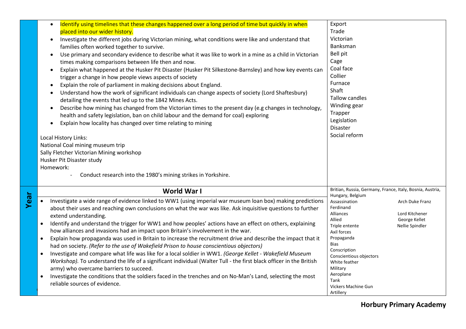|      | Identify using timelines that these changes happened over a long period of time but quickly in when<br>$\bullet$<br>placed into our wider history.<br>Investigate the different jobs during Victorian mining, what conditions were like and understand that<br>$\bullet$<br>families often worked together to survive.<br>Use primary and secondary evidence to describe what it was like to work in a mine as a child in Victorian<br>$\bullet$<br>times making comparisons between life then and now.<br>Explain what happened at the Husker Pit Disaster (Husker Pit Silkestone-Barnsley) and how key events can<br>$\bullet$<br>trigger a change in how people views aspects of society<br>Explain the role of parliament in making decisions about England.<br>Understand how the work of significant individuals can change aspects of society (Lord Shaftesbury)<br>$\bullet$<br>detailing the events that led up to the 1842 Mines Acts.<br>Describe how mining has changed from the Victorian times to the present day (e.g changes in technology,<br>health and safety legislation, ban on child labour and the demand for coal) exploring<br>Explain how locality has changed over time relating to mining<br>Local History Links:<br>National Coal mining museum trip<br>Sally Fletcher Victorian Mining workshop | Export<br>Trade<br>Victorian<br>Banksman<br>Bell pit<br>Cage<br>Coal face<br>Collier<br>Furnace<br>Shaft<br>Tallow candles<br>Winding gear<br>Trapper<br>Legislation<br><b>Disaster</b><br>Social reform                                                                                                                   |                                                                       |
|------|-------------------------------------------------------------------------------------------------------------------------------------------------------------------------------------------------------------------------------------------------------------------------------------------------------------------------------------------------------------------------------------------------------------------------------------------------------------------------------------------------------------------------------------------------------------------------------------------------------------------------------------------------------------------------------------------------------------------------------------------------------------------------------------------------------------------------------------------------------------------------------------------------------------------------------------------------------------------------------------------------------------------------------------------------------------------------------------------------------------------------------------------------------------------------------------------------------------------------------------------------------------------------------------------------------------------------------|----------------------------------------------------------------------------------------------------------------------------------------------------------------------------------------------------------------------------------------------------------------------------------------------------------------------------|-----------------------------------------------------------------------|
|      | Husker Pit Disaster study<br>Homework:<br>Conduct research into the 1980's mining strikes in Yorkshire.                                                                                                                                                                                                                                                                                                                                                                                                                                                                                                                                                                                                                                                                                                                                                                                                                                                                                                                                                                                                                                                                                                                                                                                                                       |                                                                                                                                                                                                                                                                                                                            |                                                                       |
| Year | World War I<br>Investigate a wide range of evidence linked to WW1 (using imperial war museum loan box) making predictions<br>$\bullet$<br>about their uses and reaching own conclusions on what the war was like. Ask inquisitive questions to further<br>extend understanding.<br>Identify and understand the trigger for WW1 and how peoples' actions have an effect on others, explaining<br>$\bullet$<br>how alliances and invasions had an impact upon Britain's involvement in the war.<br>Explain how propaganda was used in Britain to increase the recruitment drive and describe the impact that it<br>$\bullet$<br>had on society. (Refer to the use of Wakefield Prison to house conscientious objectors)<br>Investigate and compare what life was like for a local soldier in WW1. (George Kellet - Wakefield Museum<br>$\bullet$<br>Workshop). To understand the life of a significant individual (Walter Tull - the first black officer in the British<br>army) who overcame barriers to succeed.<br>Investigate the conditions that the soldiers faced in the trenches and on No-Man's Land, selecting the most<br>reliable sources of evidence.                                                                                                                                                              | Britian, Russia, Germany, France, Italy, Bosnia, Austria,<br>Hungary, Belgium<br>Assassination<br>Ferdinand<br>Alliances<br>Allied<br>Triple entente<br>Axil forces<br>Propaganda<br>Bias<br>Conscription<br>Conscientious objectors<br>White feather<br>Military<br>Aeroplane<br>Tank<br>Vickers Machine Gun<br>Artillery | Arch Duke Franz<br>Lord Kitchener<br>George Kellet<br>Nellie Spindler |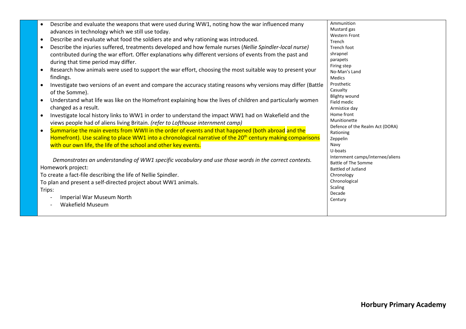|           | Describe and evaluate the weapons that were used during WW1, noting how the war influenced many                        | Ammunition                       |
|-----------|------------------------------------------------------------------------------------------------------------------------|----------------------------------|
|           | advances in technology which we still use today.                                                                       | Mustard gas                      |
|           | Describe and evaluate what food the soldiers ate and why rationing was introduced.                                     | <b>Western Front</b>             |
| $\bullet$ |                                                                                                                        | Trench                           |
| $\bullet$ | Describe the injuries suffered, treatments developed and how female nurses (Nellie Spindler-local nurse)               | Trench foot                      |
|           | contributed during the war effort. Offer explanations why different versions of events from the past and               | shrapnel                         |
|           | during that time period may differ.                                                                                    | parapets                         |
| $\bullet$ | Research how animals were used to support the war effort, choosing the most suitable way to present your               | Firing step<br>No-Man's Land     |
|           | findings.                                                                                                              | <b>Medics</b>                    |
| $\bullet$ | Investigate two versions of an event and compare the accuracy stating reasons why versions may differ (Battle          | Prosthetic                       |
|           |                                                                                                                        | Casualty                         |
|           | of the Somme).                                                                                                         | <b>Blighty wound</b>             |
| $\bullet$ | Understand what life was like on the Homefront explaining how the lives of children and particularly women             | Field medic                      |
|           | changed as a result.                                                                                                   | Armistice day                    |
|           | Investigate local history links to WW1 in order to understand the impact WW1 had on Wakefield and the                  | Home front                       |
|           | views people had of aliens living Britain. (refer to Lofthouse internment camp)                                        | Munitionette                     |
| $\bullet$ | Summarise the main events from WWII in the order of events and that happened (both abroad and the                      | Defence of the Realm Act (DORA)  |
|           | Homefront). Use scaling to place WW1 into a chronological narrative of the 20 <sup>th</sup> century making comparisons | Rationing                        |
|           |                                                                                                                        | Zeppelin                         |
|           | with our own life, the life of the school and other key events.                                                        | Navy<br>U-boats                  |
|           |                                                                                                                        | Internment camps/internee/aliens |
|           | Demonstrates an understanding of WW1 specific vocabulary and use those words in the correct contexts.                  | Battle of The Somme              |
|           | Homework project:                                                                                                      | <b>Battled of Jutland</b>        |
|           | To create a fact-file describing the life of Nellie Spindler.                                                          | Chronology                       |
|           | To plan and present a self-directed project about WW1 animals.                                                         | Chronological                    |
| Trips:    |                                                                                                                        | Scaling                          |
|           | Imperial War Museum North                                                                                              | Decade                           |
|           |                                                                                                                        | Century                          |
|           | <b>Wakefield Museum</b>                                                                                                |                                  |
|           |                                                                                                                        |                                  |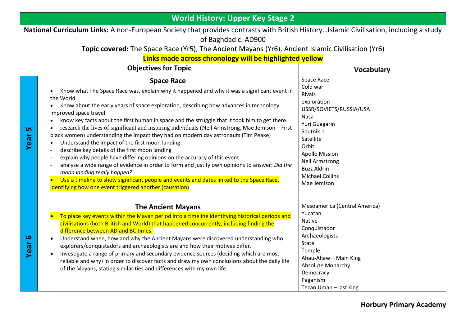|                                                                                                                                                                                                                                                                                                                              | <b>World History: Upper Key Stage 2</b>                                                                                                                                                                                                                                                                                                                                                                                                                                                                                                                                                                                                                                                                                                                                                                                                                                                                                                                                                                                 |                                                                                                                                                                                                                                                         |  |  |  |
|------------------------------------------------------------------------------------------------------------------------------------------------------------------------------------------------------------------------------------------------------------------------------------------------------------------------------|-------------------------------------------------------------------------------------------------------------------------------------------------------------------------------------------------------------------------------------------------------------------------------------------------------------------------------------------------------------------------------------------------------------------------------------------------------------------------------------------------------------------------------------------------------------------------------------------------------------------------------------------------------------------------------------------------------------------------------------------------------------------------------------------------------------------------------------------------------------------------------------------------------------------------------------------------------------------------------------------------------------------------|---------------------------------------------------------------------------------------------------------------------------------------------------------------------------------------------------------------------------------------------------------|--|--|--|
| National Curriculum Links: A non-European Society that provides contrasts with British HistoryIslamic Civilisation, including a study<br>of Baghdad c. AD900<br>Topic covered: The Space Race (Yr5), The Ancient Mayans (Yr6), Ancient Islamic Civilisation (Yr6)<br>Links made across chronology will be highlighted yellow |                                                                                                                                                                                                                                                                                                                                                                                                                                                                                                                                                                                                                                                                                                                                                                                                                                                                                                                                                                                                                         |                                                                                                                                                                                                                                                         |  |  |  |
|                                                                                                                                                                                                                                                                                                                              | <b>Objectives for Topic</b><br><b>Vocabulary</b>                                                                                                                                                                                                                                                                                                                                                                                                                                                                                                                                                                                                                                                                                                                                                                                                                                                                                                                                                                        |                                                                                                                                                                                                                                                         |  |  |  |
| <u>ທ</u><br>Year                                                                                                                                                                                                                                                                                                             | <b>Space Race</b><br>Know what The Space Race was, explain why it happened and why it was a significant event in<br>the World.<br>Know about the early years of space exploration, describing how advances in technology<br>improved space travel.<br>know key facts about the first human in space and the struggle that it took him to get there.<br>research the lives of significant and inspiring individuals (Neil Armstrong, Mae Jemison - First<br>black women) understanding the impact they had on modern day astronauts (Tim Peake)<br>Understand the impact of the first moon landing:<br>describe key details of the first moon landing<br>explain why people have differing opinions on the accuracy of this event<br>analyse a wide range of evidence in order to form and justify own opinions to answer: Did the<br>moon landing really happen?<br>Use a timeline to show significant people and events and dates linked to the Space Race,<br>identifying how one event triggered another (causation) | Space Race<br>Cold war<br>Rivals<br>exploration<br>USSR/SOVIETS/RUSSIA/USA<br>Nasa<br>Yuri Guagarin<br>Sputnik 1<br>Satellite<br>Orbit<br><b>Apollo Mission</b><br><b>Neil Armstrong</b><br><b>Buzz Aldrin</b><br><b>Michael Collins</b><br>Mae Jemison |  |  |  |
| $\overline{\mathbf{6}}$<br>Year                                                                                                                                                                                                                                                                                              | <b>The Ancient Mayans</b><br>To place key events within the Mayan period into a timeline identifying historical periods and<br>civilisations (both British and World) that happened concurrently, including finding the<br>difference between AD and BC times.<br>Understand when, how and why the Ancient Mayans were discovered understanding who<br>$\bullet$<br>explorers/conquistadors and archaeologists are and how their motives differ.<br>Investigate a range of primary and secondary evidence sources (deciding which are most<br>$\bullet$<br>reliable and why) in order to discover facts and draw my own conclusions about the daily life<br>of the Mayans, stating similarities and differences with my own life.                                                                                                                                                                                                                                                                                       | Mesoamerica (Central America)<br>Yucatan<br><b>Native</b><br>Conquistador<br>Archaeologists<br>State<br>Temple<br>Ahau-Ahaw - Main King<br>Absolute Monarchy<br>Democracy<br>Paganism<br>Tecan Uman - last king                                         |  |  |  |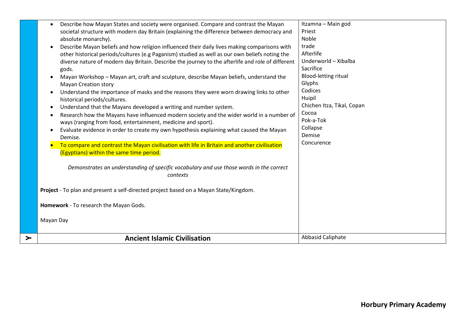| <b>Ancient Islamic Civilisation</b>                                                                                                                                                                                                                                                                 | Abbasid Caliphate                                  |
|-----------------------------------------------------------------------------------------------------------------------------------------------------------------------------------------------------------------------------------------------------------------------------------------------------|----------------------------------------------------|
| Homework - To research the Mayan Gods.<br>Mayan Day                                                                                                                                                                                                                                                 |                                                    |
| Project - To plan and present a self-directed project based on a Mayan State/Kingdom.                                                                                                                                                                                                               |                                                    |
| Demonstrates an understanding of specific vocabulary and use those words in the correct<br>contexts                                                                                                                                                                                                 |                                                    |
| Demise.<br>To compare and contrast the Mayan civilisation with life in Britain and another civilisation<br>(Egyptians) within the same time period.                                                                                                                                                 | Concurence                                         |
| ways (ranging from food, entertainment, medicine and sport).<br>Evaluate evidence in order to create my own hypothesis explaining what caused the Mayan                                                                                                                                             | Pok-a-Tok<br>Collapse<br>Demise                    |
| Understand that the Mayans developed a writing and number system.<br>$\bullet$<br>Research how the Mayans have influenced modern society and the wider world in a number of<br>$\bullet$                                                                                                            | Chichen Itza, Tikal, Copan<br>Cocoa                |
| <b>Mayan Creation story</b><br>Understand the importance of masks and the reasons they were worn drawing links to other<br>historical periods/cultures.                                                                                                                                             | Codices<br>Huipil                                  |
| gods.<br>Mayan Workshop - Mayan art, craft and sculpture, describe Mayan beliefs, understand the                                                                                                                                                                                                    | Sacrifice<br><b>Blood-letting ritual</b><br>Glyphs |
| Describe Mayan beliefs and how religion influenced their daily lives making comparisons with<br>other historical periods/cultures (e.g Paganism) studied as well as our own beliefs noting the<br>diverse nature of modern day Britain. Describe the journey to the afterlife and role of different | trade<br>Afterlife<br>Underworld - Xibalba         |
| Describe how Mayan States and society were organised. Compare and contrast the Mayan<br>$\bullet$<br>societal structure with modern day Britain (explaining the difference between democracy and<br>absolute monarchy).                                                                             | Itzamna - Main god<br>Priest<br>Noble              |
|                                                                                                                                                                                                                                                                                                     |                                                    |

**Y**